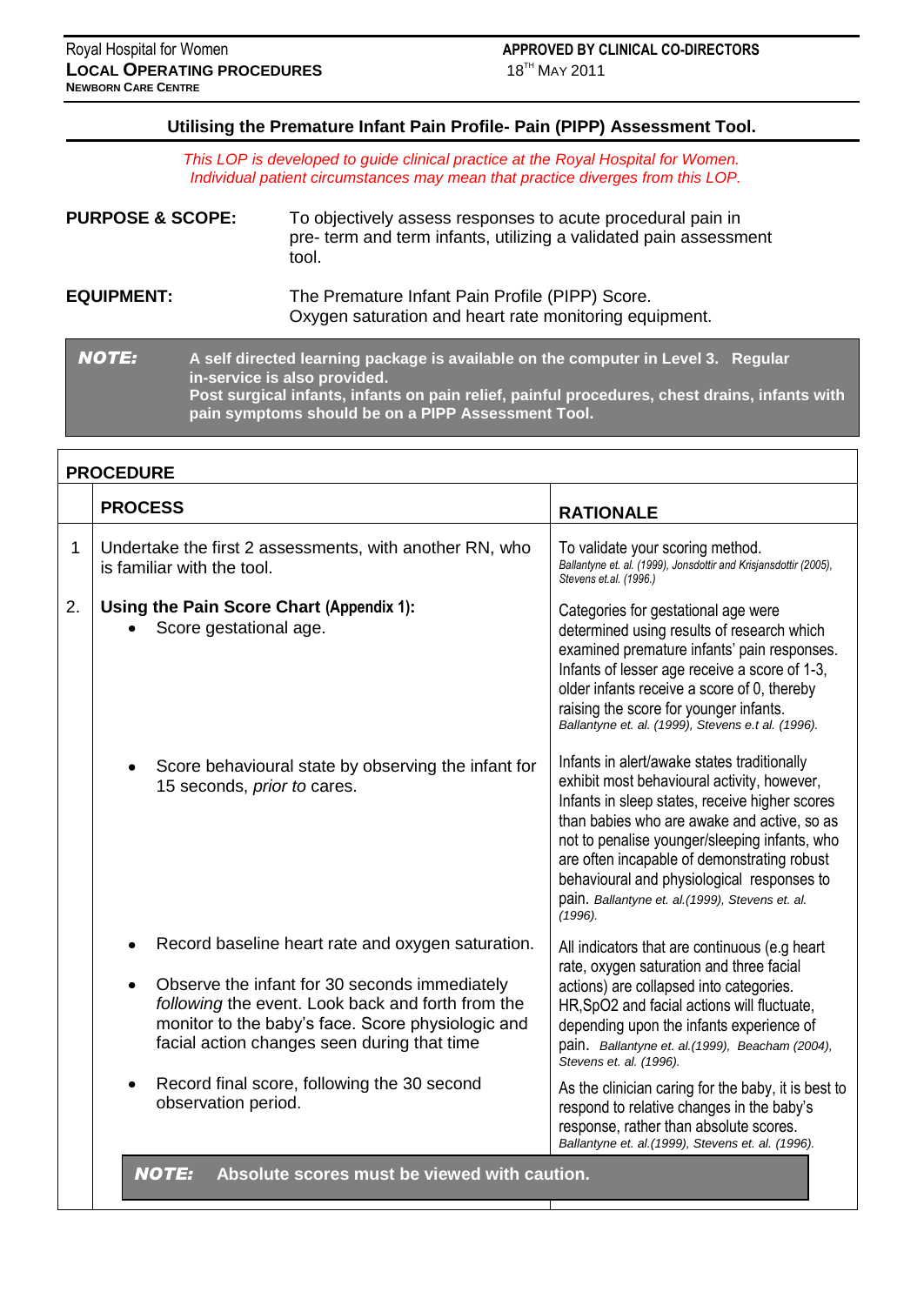### **Utilising the Premature Infant Pain Profile- Pain (PIPP) Assessment Tool.**

*This LOP is developed to guide clinical practice at the Royal Hospital for Women. Individual patient circumstances may mean that practice diverges from this LOP.*

| <b>PURPOSE &amp; SCOPE:</b> | To objectively assess responses to acute procedural pain in<br>pre- term and term infants, utilizing a validated pain assessment<br>tool.                                                                                                                                |
|-----------------------------|--------------------------------------------------------------------------------------------------------------------------------------------------------------------------------------------------------------------------------------------------------------------------|
| <b>EQUIPMENT:</b>           | The Premature Infant Pain Profile (PIPP) Score.<br>Oxygen saturation and heart rate monitoring equipment.                                                                                                                                                                |
| <b>NOTE:</b>                | A self directed learning package is available on the computer in Level 3. Regular<br>in-service is also provided.<br>Post surgical infants, infants on pain relief, painful procedures, chest drains, infants with<br>pain symptoms should be on a PIPP Assessment Tool. |

|    | <b>PROCEDURE</b>                                                                                                                                                                                                                                            |                                                                                                                                                                                                                                                                                                                                                                                                          |  |  |  |  |  |  |  |
|----|-------------------------------------------------------------------------------------------------------------------------------------------------------------------------------------------------------------------------------------------------------------|----------------------------------------------------------------------------------------------------------------------------------------------------------------------------------------------------------------------------------------------------------------------------------------------------------------------------------------------------------------------------------------------------------|--|--|--|--|--|--|--|
|    | <b>PROCESS</b><br><b>RATIONALE</b>                                                                                                                                                                                                                          |                                                                                                                                                                                                                                                                                                                                                                                                          |  |  |  |  |  |  |  |
| 1  | Undertake the first 2 assessments, with another RN, who<br>To validate your scoring method.<br>Ballantyne et. al. (1999), Jonsdottir and Krisjansdottir (2005),<br>is familiar with the tool.<br>Stevens et.al. (1996.)                                     |                                                                                                                                                                                                                                                                                                                                                                                                          |  |  |  |  |  |  |  |
| 2. | Using the Pain Score Chart (Appendix 1):<br>Score gestational age.                                                                                                                                                                                          | Categories for gestational age were<br>determined using results of research which<br>examined premature infants' pain responses.<br>Infants of lesser age receive a score of 1-3,<br>older infants receive a score of 0, thereby<br>raising the score for younger infants.<br>Ballantyne et. al. (1999), Stevens e.t al. (1996).                                                                         |  |  |  |  |  |  |  |
|    | Score behavioural state by observing the infant for<br>15 seconds, <i>prior to</i> cares.                                                                                                                                                                   | Infants in alert/awake states traditionally<br>exhibit most behavioural activity, however,<br>Infants in sleep states, receive higher scores<br>than babies who are awake and active, so as<br>not to penalise younger/sleeping infants, who<br>are often incapable of demonstrating robust<br>behavioural and physiological responses to<br>pain. Ballantyne et. al. (1999), Stevens et. al.<br>(1996). |  |  |  |  |  |  |  |
|    | Record baseline heart rate and oxygen saturation.<br>Observe the infant for 30 seconds immediately<br>following the event. Look back and forth from the<br>monitor to the baby's face. Score physiologic and<br>facial action changes seen during that time | All indicators that are continuous (e.g heart<br>rate, oxygen saturation and three facial<br>actions) are collapsed into categories.<br>HR, SpO2 and facial actions will fluctuate,<br>depending upon the infants experience of<br>pain. Ballantyne et. al. (1999), Beacham (2004),<br>Stevens et. al. (1996).                                                                                           |  |  |  |  |  |  |  |
|    | Record final score, following the 30 second<br>observation period.                                                                                                                                                                                          | As the clinician caring for the baby, it is best to<br>respond to relative changes in the baby's<br>response, rather than absolute scores.<br>Ballantyne et. al. (1999), Stevens et. al. (1996).                                                                                                                                                                                                         |  |  |  |  |  |  |  |
|    | $MATE$ , $\Delta$ healite seares must be viewed with coution                                                                                                                                                                                                |                                                                                                                                                                                                                                                                                                                                                                                                          |  |  |  |  |  |  |  |

*NOTE:* **Absolute scores must be viewed with caution.**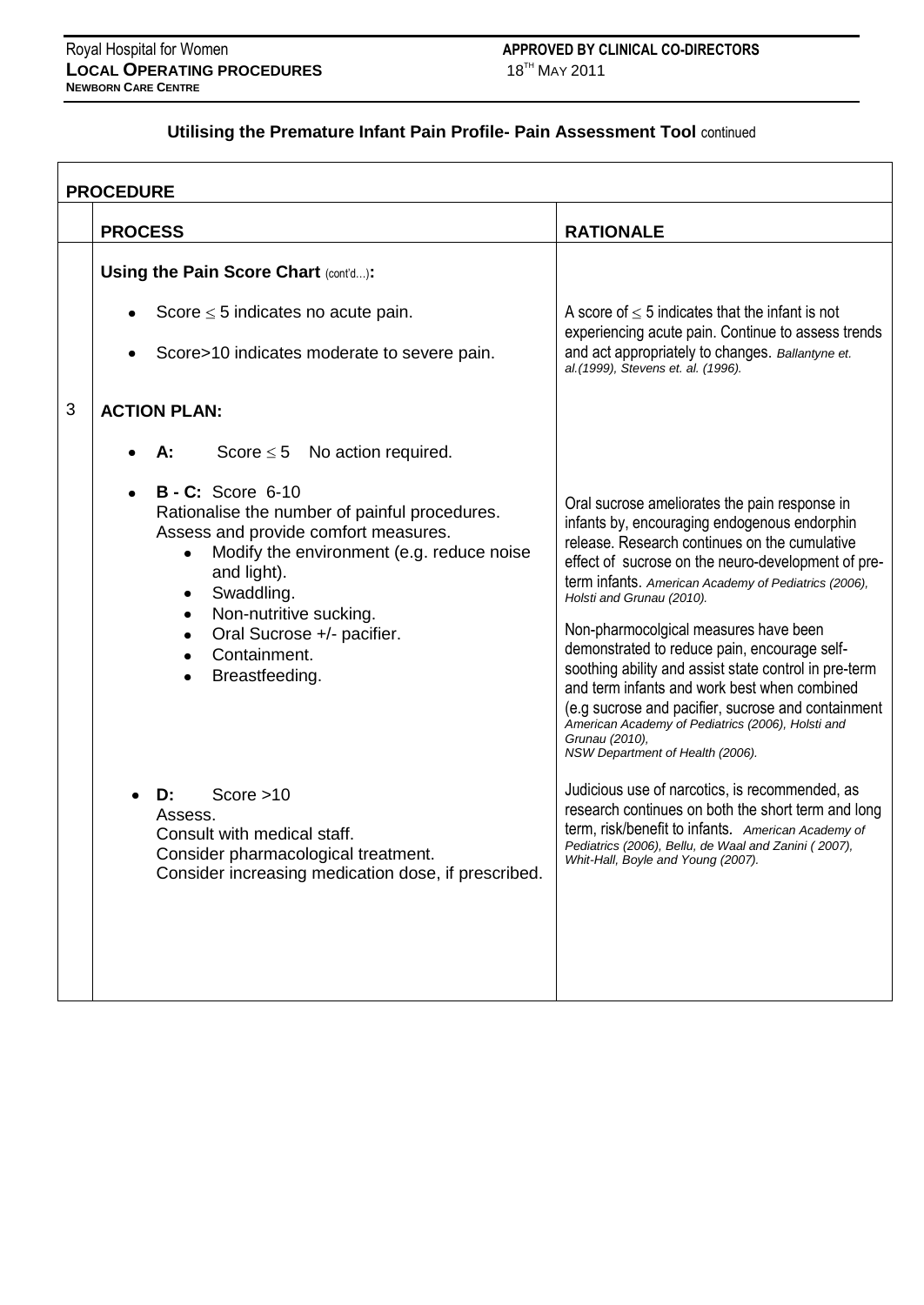### **Utilising the Premature Infant Pain Profile- Pain Assessment Tool** continued

|   | <b>PROCEDURE</b>                                                                                                                                                                                                                                                                                        |                                                                                                                                                                                                                                                                                                                                                                                                                                                                                                                                                                                                                                                              |  |  |  |  |
|---|---------------------------------------------------------------------------------------------------------------------------------------------------------------------------------------------------------------------------------------------------------------------------------------------------------|--------------------------------------------------------------------------------------------------------------------------------------------------------------------------------------------------------------------------------------------------------------------------------------------------------------------------------------------------------------------------------------------------------------------------------------------------------------------------------------------------------------------------------------------------------------------------------------------------------------------------------------------------------------|--|--|--|--|
|   | <b>PROCESS</b>                                                                                                                                                                                                                                                                                          | <b>RATIONALE</b>                                                                                                                                                                                                                                                                                                                                                                                                                                                                                                                                                                                                                                             |  |  |  |  |
|   | Using the Pain Score Chart (cont'd):                                                                                                                                                                                                                                                                    |                                                                                                                                                                                                                                                                                                                                                                                                                                                                                                                                                                                                                                                              |  |  |  |  |
|   | Score $\leq$ 5 indicates no acute pain.                                                                                                                                                                                                                                                                 | A score of $\leq$ 5 indicates that the infant is not<br>experiencing acute pain. Continue to assess trends                                                                                                                                                                                                                                                                                                                                                                                                                                                                                                                                                   |  |  |  |  |
|   | Score>10 indicates moderate to severe pain.                                                                                                                                                                                                                                                             | and act appropriately to changes. Ballantyne et.<br>al.(1999), Stevens et. al. (1996).                                                                                                                                                                                                                                                                                                                                                                                                                                                                                                                                                                       |  |  |  |  |
| 3 | <b>ACTION PLAN:</b>                                                                                                                                                                                                                                                                                     |                                                                                                                                                                                                                                                                                                                                                                                                                                                                                                                                                                                                                                                              |  |  |  |  |
|   | Score $\leq$ 5 No action required.<br>А:                                                                                                                                                                                                                                                                |                                                                                                                                                                                                                                                                                                                                                                                                                                                                                                                                                                                                                                                              |  |  |  |  |
|   | <b>B - C:</b> Score 6-10<br>Rationalise the number of painful procedures.<br>Assess and provide comfort measures.<br>Modify the environment (e.g. reduce noise<br>and light).<br>Swaddling.<br>٠<br>Non-nutritive sucking.<br>$\bullet$<br>Oral Sucrose +/- pacifier.<br>Containment.<br>Breastfeeding. | Oral sucrose ameliorates the pain response in<br>infants by, encouraging endogenous endorphin<br>release. Research continues on the cumulative<br>effect of sucrose on the neuro-development of pre-<br>term infants. American Academy of Pediatrics (2006),<br>Holsti and Grunau (2010).<br>Non-pharmocolgical measures have been<br>demonstrated to reduce pain, encourage self-<br>soothing ability and assist state control in pre-term<br>and term infants and work best when combined<br>(e.g sucrose and pacifier, sucrose and containment<br>American Academy of Pediatrics (2006), Holsti and<br>Grunau (2010),<br>NSW Department of Health (2006). |  |  |  |  |
|   | Score $>10$<br>D:<br>Assess.<br>Consult with medical staff.<br>Consider pharmacological treatment.<br>Consider increasing medication dose, if prescribed.                                                                                                                                               | Judicious use of narcotics, is recommended, as<br>research continues on both the short term and long<br>term, risk/benefit to infants. American Academy of<br>Pediatrics (2006), Bellu, de Waal and Zanini (2007),<br>Whit-Hall, Boyle and Young (2007).                                                                                                                                                                                                                                                                                                                                                                                                     |  |  |  |  |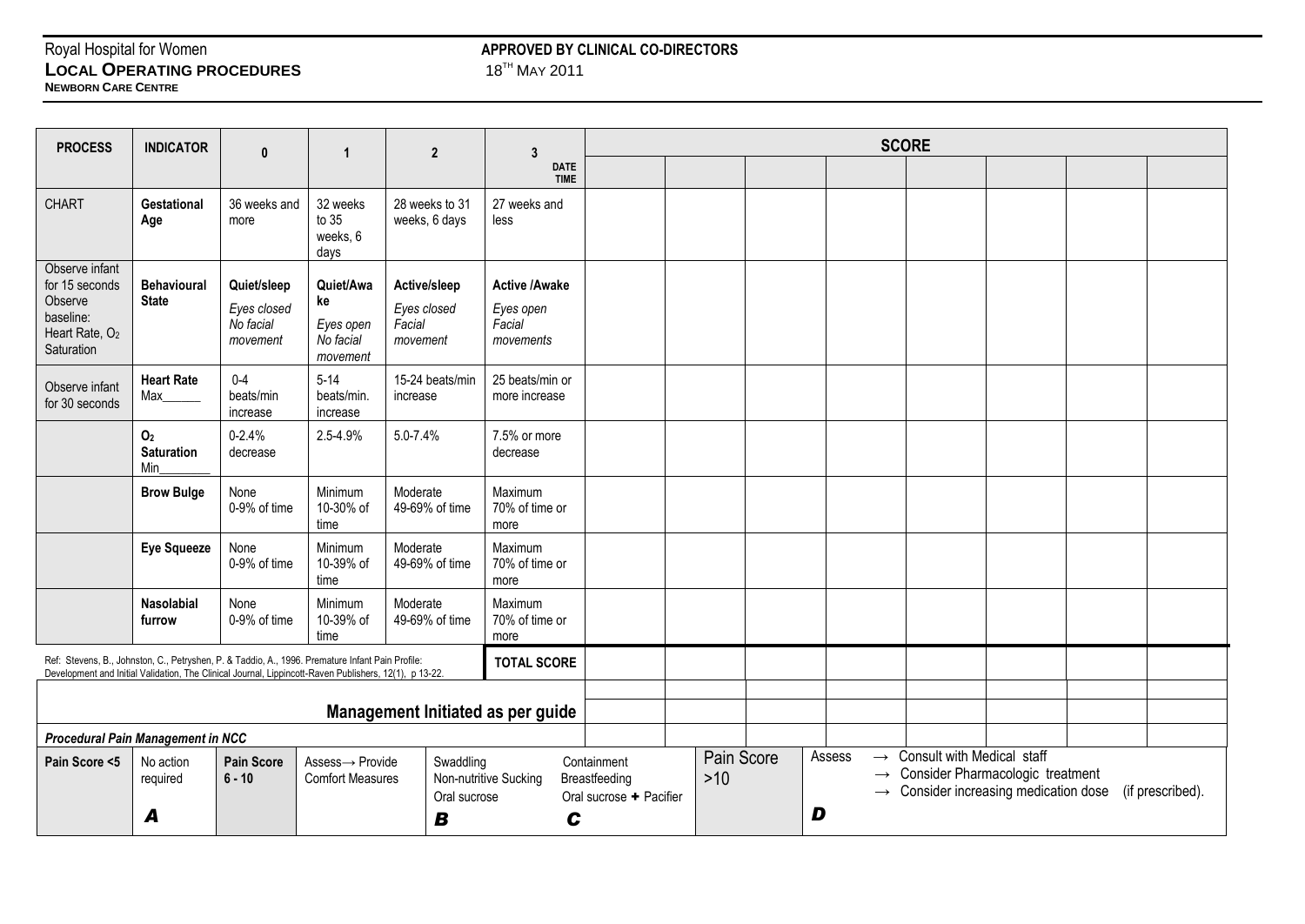## **LOCAL OPERATING PROCEDURES NEWBORN CARE CENTRE**

# Royal Hospital for Women **APPROVED BY CLINICAL CO-DIRECTORS**<br> **APPROVED BY CLINICAL CO-DIRECTORS**<br>  $18^{T}$  MAY 2011

| <b>PROCESS</b>                                                                                                                                                                                             | <b>INDICATOR</b>                           | $\mathbf{0}$                                        | $\overline{1}$                                        | $\overline{2}$                                    | 3                                                        | <b>SCORE</b>                                            |       |            |                                                           |                                                                                                       |  |                  |
|------------------------------------------------------------------------------------------------------------------------------------------------------------------------------------------------------------|--------------------------------------------|-----------------------------------------------------|-------------------------------------------------------|---------------------------------------------------|----------------------------------------------------------|---------------------------------------------------------|-------|------------|-----------------------------------------------------------|-------------------------------------------------------------------------------------------------------|--|------------------|
|                                                                                                                                                                                                            |                                            |                                                     |                                                       |                                                   | <b>DATE</b><br><b>TIME</b>                               |                                                         |       |            |                                                           |                                                                                                       |  |                  |
| <b>CHART</b>                                                                                                                                                                                               | <b>Gestational</b><br>Age                  | 36 weeks and<br>more                                | 32 weeks<br>to 35<br>weeks, 6<br>days                 | 28 weeks to 31<br>weeks, 6 days                   | 27 weeks and<br>less                                     |                                                         |       |            |                                                           |                                                                                                       |  |                  |
| Observe infant<br>for 15 seconds<br>Observe<br>baseline:<br>Heart Rate, O <sub>2</sub><br>Saturation                                                                                                       | <b>Behavioural</b><br><b>State</b>         | Quiet/sleep<br>Eyes closed<br>No facial<br>movement | Quiet/Awa<br>ke<br>Eyes open<br>No facial<br>movement | Active/sleep<br>Eyes closed<br>Facial<br>movement | <b>Active /Awake</b><br>Eyes open<br>Facial<br>movements |                                                         |       |            |                                                           |                                                                                                       |  |                  |
| Observe infant<br>for 30 seconds                                                                                                                                                                           | <b>Heart Rate</b><br>Max                   | $0-4$<br>beats/min<br>increase                      | $5-14$<br>beats/min.<br>increase                      | 15-24 beats/min<br>increase                       | 25 beats/min or<br>more increase                         |                                                         |       |            |                                                           |                                                                                                       |  |                  |
|                                                                                                                                                                                                            | O <sub>2</sub><br><b>Saturation</b><br>Min | $0 - 2.4%$<br>decrease                              | 2.5-4.9%                                              | 5.0-7.4%                                          | 7.5% or more<br>decrease                                 |                                                         |       |            |                                                           |                                                                                                       |  |                  |
|                                                                                                                                                                                                            | <b>Brow Bulge</b>                          | None<br>0-9% of time                                | Minimum<br>10-30% of<br>time                          | Moderate<br>49-69% of time                        | Maximum<br>70% of time or<br>more                        |                                                         |       |            |                                                           |                                                                                                       |  |                  |
|                                                                                                                                                                                                            | <b>Eye Squeeze</b>                         | None<br>0-9% of time                                | Minimum<br>10-39% of<br>time                          | Moderate<br>49-69% of time                        | Maximum<br>70% of time or<br>more                        |                                                         |       |            |                                                           |                                                                                                       |  |                  |
|                                                                                                                                                                                                            | Nasolabial<br>furrow                       | None<br>0-9% of time                                | Minimum<br>10-39% of<br>time                          | Moderate<br>49-69% of time                        | Maximum<br>70% of time or<br>more                        |                                                         |       |            |                                                           |                                                                                                       |  |                  |
| Ref: Stevens, B., Johnston, C., Petryshen, P. & Taddio, A., 1996. Premature Infant Pain Profile:<br>Development and Initial Validation, The Clinical Journal, Lippincott-Raven Publishers, 12(1), p 13-22. |                                            |                                                     |                                                       |                                                   | <b>TOTAL SCORE</b>                                       |                                                         |       |            |                                                           |                                                                                                       |  |                  |
|                                                                                                                                                                                                            |                                            |                                                     |                                                       | Management Initiated as per guide                 |                                                          |                                                         |       |            |                                                           |                                                                                                       |  |                  |
| <b>Procedural Pain Management in NCC</b>                                                                                                                                                                   |                                            |                                                     |                                                       |                                                   |                                                          |                                                         |       |            |                                                           |                                                                                                       |  |                  |
| Pain Score <5                                                                                                                                                                                              | No action<br>required                      | <b>Pain Score</b><br>$6 - 10$                       | Assess-> Provide<br><b>Comfort Measures</b>           | Swaddling<br>Oral sucrose                         | Non-nutritive Sucking                                    | Containment<br>Breastfeeding<br>Oral sucrose + Pacifier | $>10$ | Pain Score | Assess<br>$\rightarrow$<br>$\rightarrow$<br>$\rightarrow$ | Consult with Medical staff<br>Consider Pharmacologic treatment<br>Consider increasing medication dose |  | (if prescribed). |
|                                                                                                                                                                                                            | A                                          |                                                     |                                                       | B                                                 | C                                                        |                                                         |       |            | D                                                         |                                                                                                       |  |                  |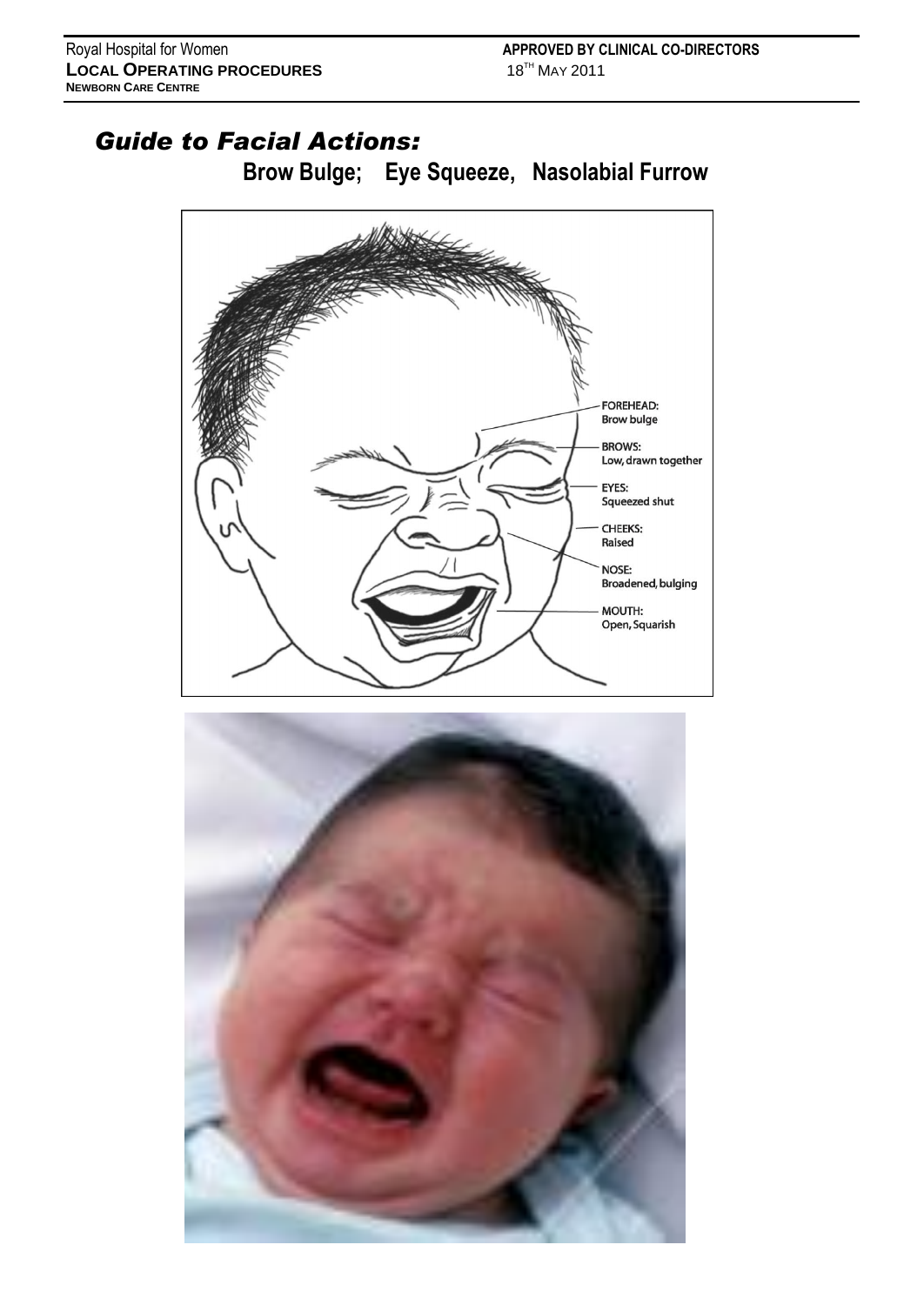## *Guide to Facial Actions:*